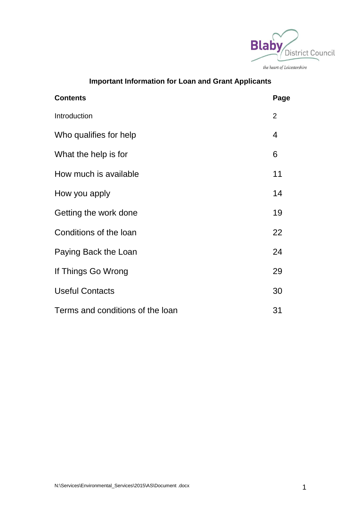

| <b>Contents</b>                  | Page           |
|----------------------------------|----------------|
| Introduction                     | $\overline{2}$ |
| Who qualifies for help           | 4              |
| What the help is for             | 6              |
| How much is available            | 11             |
| How you apply                    | 14             |
| Getting the work done            | 19             |
| Conditions of the loan           | 22             |
| Paying Back the Loan             | 24             |
| If Things Go Wrong               | 29             |
| <b>Useful Contacts</b>           | 30             |
| Terms and conditions of the loan | 31             |

# **Important Information for Loan and Grant Applicants**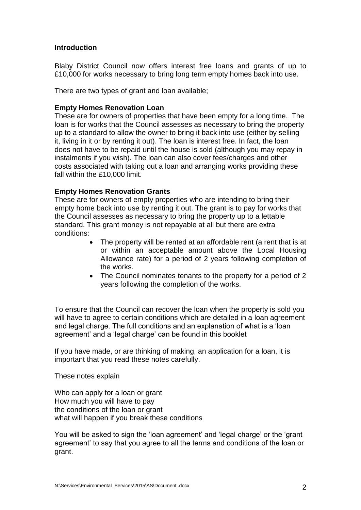### **Introduction**

Blaby District Council now offers interest free loans and grants of up to £10,000 for works necessary to bring long term empty homes back into use.

There are two types of grant and loan available;

#### **Empty Homes Renovation Loan**

These are for owners of properties that have been empty for a long time. The loan is for works that the Council assesses as necessary to bring the property up to a standard to allow the owner to bring it back into use (either by selling it, living in it or by renting it out). The loan is interest free. In fact, the loan does not have to be repaid until the house is sold (although you may repay in instalments if you wish). The loan can also cover fees/charges and other costs associated with taking out a loan and arranging works providing these fall within the £10,000 limit.

### **Empty Homes Renovation Grants**

These are for owners of empty properties who are intending to bring their empty home back into use by renting it out. The grant is to pay for works that the Council assesses as necessary to bring the property up to a lettable standard. This grant money is not repayable at all but there are extra conditions:

- The property will be rented at an affordable rent (a rent that is at or within an acceptable amount above the Local Housing Allowance rate) for a period of 2 years following completion of the works.
- The Council nominates tenants to the property for a period of 2 years following the completion of the works.

To ensure that the Council can recover the loan when the property is sold you will have to agree to certain conditions which are detailed in a loan agreement and legal charge. The full conditions and an explanation of what is a 'loan agreement' and a 'legal charge' can be found in this booklet

If you have made, or are thinking of making, an application for a loan, it is important that you read these notes carefully.

These notes explain

Who can apply for a loan or grant How much you will have to pay the conditions of the loan or grant what will happen if you break these conditions

You will be asked to sign the 'loan agreement' and 'legal charge' or the 'grant agreement' to say that you agree to all the terms and conditions of the loan or grant.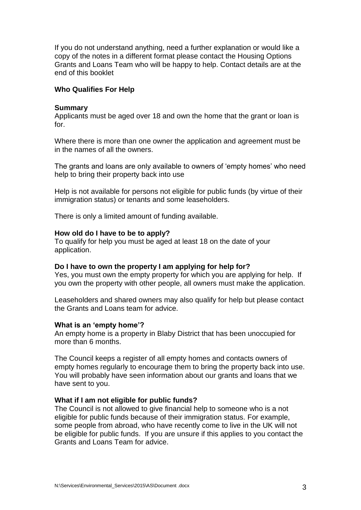If you do not understand anything, need a further explanation or would like a copy of the notes in a different format please contact the Housing Options Grants and Loans Team who will be happy to help. Contact details are at the end of this booklet

### **Who Qualifies For Help**

#### **Summary**

Applicants must be aged over 18 and own the home that the grant or loan is for.

Where there is more than one owner the application and agreement must be in the names of all the owners.

The grants and loans are only available to owners of 'empty homes' who need help to bring their property back into use

Help is not available for persons not eligible for public funds (by virtue of their immigration status) or tenants and some leaseholders.

There is only a limited amount of funding available.

#### **How old do I have to be to apply?**

To qualify for help you must be aged at least 18 on the date of your application.

#### **Do I have to own the property I am applying for help for?**

Yes, you must own the empty property for which you are applying for help. If you own the property with other people, all owners must make the application.

Leaseholders and shared owners may also qualify for help but please contact the Grants and Loans team for advice.

#### **What is an 'empty home'?**

An empty home is a property in Blaby District that has been unoccupied for more than 6 months.

The Council keeps a register of all empty homes and contacts owners of empty homes regularly to encourage them to bring the property back into use. You will probably have seen information about our grants and loans that we have sent to you.

#### **What if I am not eligible for public funds?**

The Council is not allowed to give financial help to someone who is a not eligible for public funds because of their immigration status. For example, some people from abroad, who have recently come to live in the UK will not be eligible for public funds. If you are unsure if this applies to you contact the Grants and Loans Team for advice.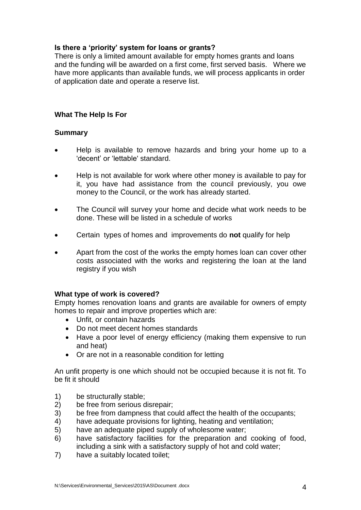# **Is there a 'priority' system for loans or grants?**

There is only a limited amount available for empty homes grants and loans and the funding will be awarded on a first come, first served basis. Where we have more applicants than available funds, we will process applicants in order of application date and operate a reserve list.

# **What The Help Is For**

### **Summary**

- Help is available to remove hazards and bring your home up to a 'decent' or 'lettable' standard.
- Help is not available for work where other money is available to pay for it, you have had assistance from the council previously, you owe money to the Council, or the work has already started.
- The Council will survey your home and decide what work needs to be done. These will be listed in a schedule of works
- Certain types of homes and improvements do **not** qualify for help
- Apart from the cost of the works the empty homes loan can cover other costs associated with the works and registering the loan at the land registry if you wish

### **What type of work is covered?**

Empty homes renovation loans and grants are available for owners of empty homes to repair and improve properties which are:

- Unfit, or contain hazards
- Do not meet decent homes standards
- Have a poor level of energy efficiency (making them expensive to run and heat)
- Or are not in a reasonable condition for letting

An unfit property is one which should not be occupied because it is not fit. To be fit it should

- 1) be structurally stable;
- 2) be free from serious disrepair;
- 3) be free from dampness that could affect the health of the occupants;<br>4) have adequate provisions for lighting, heating and ventilation:
- have adequate provisions for lighting, heating and ventilation;
- 5) have an adequate piped supply of wholesome water;
- 6) have satisfactory facilities for the preparation and cooking of food, including a sink with a satisfactory supply of hot and cold water;
- 7) have a suitably located toilet;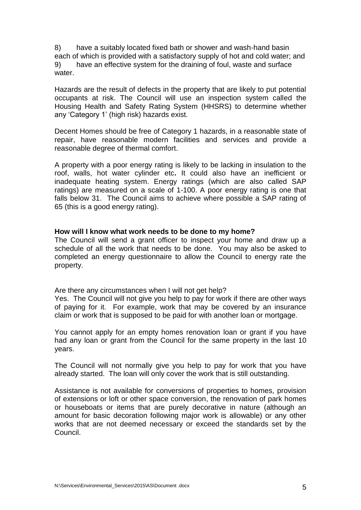8) have a suitably located fixed bath or shower and wash-hand basin each of which is provided with a satisfactory supply of hot and cold water; and 9) have an effective system for the draining of foul, waste and surface water.

Hazards are the result of defects in the property that are likely to put potential occupants at risk. The Council will use an inspection system called the Housing Health and Safety Rating System (HHSRS) to determine whether any 'Category 1' (high risk) hazards exist.

Decent Homes should be free of Category 1 hazards, in a reasonable state of repair, have reasonable modern facilities and services and provide a reasonable degree of thermal comfort.

A property with a poor energy rating is likely to be lacking in insulation to the roof, walls, hot water cylinder etc**.** It could also have an inefficient or inadequate heating system. Energy ratings (which are also called SAP ratings) are measured on a scale of 1-100. A poor energy rating is one that falls below 31. The Council aims to achieve where possible a SAP rating of 65 (this is a good energy rating).

#### **How will I know what work needs to be done to my home?**

The Council will send a grant officer to inspect your home and draw up a schedule of all the work that needs to be done. You may also be asked to completed an energy questionnaire to allow the Council to energy rate the property.

Are there any circumstances when I will not get help?

Yes. The Council will not give you help to pay for work if there are other ways of paying for it. For example, work that may be covered by an insurance claim or work that is supposed to be paid for with another loan or mortgage.

You cannot apply for an empty homes renovation loan or grant if you have had any loan or grant from the Council for the same property in the last 10 years.

The Council will not normally give you help to pay for work that you have already started. The loan will only cover the work that is still outstanding.

Assistance is not available for conversions of properties to homes, provision of extensions or loft or other space conversion, the renovation of park homes or houseboats or items that are purely decorative in nature (although an amount for basic decoration following major work is allowable) or any other works that are not deemed necessary or exceed the standards set by the Council.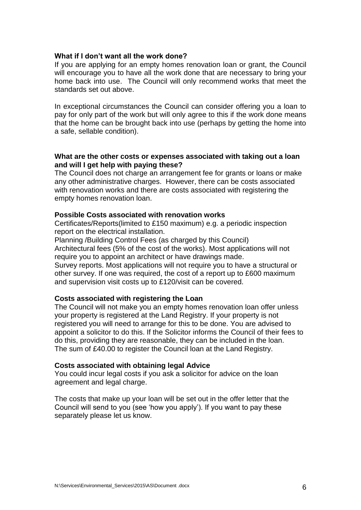#### **What if I don't want all the work done?**

If you are applying for an empty homes renovation loan or grant, the Council will encourage you to have all the work done that are necessary to bring your home back into use. The Council will only recommend works that meet the standards set out above.

In exceptional circumstances the Council can consider offering you a loan to pay for only part of the work but will only agree to this if the work done means that the home can be brought back into use (perhaps by getting the home into a safe, sellable condition).

### **What are the other costs or expenses associated with taking out a loan and will I get help with paying these?**

The Council does not charge an arrangement fee for grants or loans or make any other administrative charges. However, there can be costs associated with renovation works and there are costs associated with registering the empty homes renovation loan.

### **Possible Costs associated with renovation works**

Certificates/Reports(limited to £150 maximum) e.g. a periodic inspection report on the electrical installation.

Planning /Building Control Fees (as charged by this Council)

Architectural fees (5% of the cost of the works). Most applications will not require you to appoint an architect or have drawings made.

Survey reports. Most applications will not require you to have a structural or other survey. If one was required, the cost of a report up to £600 maximum and supervision visit costs up to £120/visit can be covered.

#### **Costs associated with registering the Loan**

The Council will not make you an empty homes renovation loan offer unless your property is registered at the Land Registry. If your property is not registered you will need to arrange for this to be done. You are advised to appoint a solicitor to do this. If the Solicitor informs the Council of their fees to do this, providing they are reasonable, they can be included in the loan. The sum of £40.00 to register the Council loan at the Land Registry.

#### **Costs associated with obtaining legal Advice**

You could incur legal costs if you ask a solicitor for advice on the loan agreement and legal charge.

The costs that make up your loan will be set out in the offer letter that the Council will send to you (see 'how you apply'). If you want to pay these separately please let us know.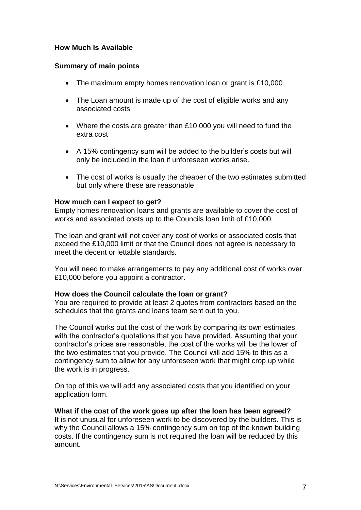### **How Much Is Available**

### **Summary of main points**

- The maximum empty homes renovation loan or grant is £10,000
- The Loan amount is made up of the cost of eligible works and any associated costs
- Where the costs are greater than £10,000 you will need to fund the extra cost
- A 15% contingency sum will be added to the builder's costs but will only be included in the loan if unforeseen works arise.
- The cost of works is usually the cheaper of the two estimates submitted but only where these are reasonable

### **How much can I expect to get?**

Empty homes renovation loans and grants are available to cover the cost of works and associated costs up to the Councils loan limit of £10,000.

The loan and grant will not cover any cost of works or associated costs that exceed the £10,000 limit or that the Council does not agree is necessary to meet the decent or lettable standards.

You will need to make arrangements to pay any additional cost of works over £10,000 before you appoint a contractor.

### **How does the Council calculate the loan or grant?**

You are required to provide at least 2 quotes from contractors based on the schedules that the grants and loans team sent out to you.

The Council works out the cost of the work by comparing its own estimates with the contractor's quotations that you have provided. Assuming that your contractor's prices are reasonable, the cost of the works will be the lower of the two estimates that you provide. The Council will add 15% to this as a contingency sum to allow for any unforeseen work that might crop up while the work is in progress.

On top of this we will add any associated costs that you identified on your application form.

#### **What if the cost of the work goes up after the loan has been agreed?**

It is not unusual for unforeseen work to be discovered by the builders. This is why the Council allows a 15% contingency sum on top of the known building costs. If the contingency sum is not required the loan will be reduced by this amount.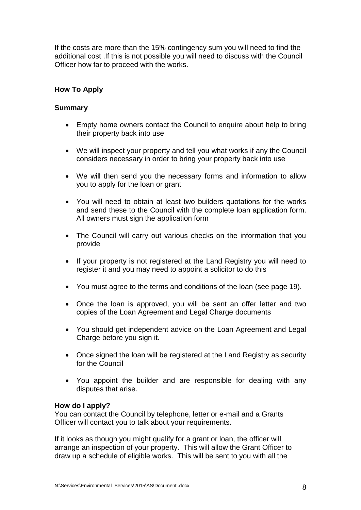If the costs are more than the 15% contingency sum you will need to find the additional cost .If this is not possible you will need to discuss with the Council Officer how far to proceed with the works.

# **How To Apply**

### **Summary**

- Empty home owners contact the Council to enquire about help to bring their property back into use
- We will inspect your property and tell you what works if any the Council considers necessary in order to bring your property back into use
- We will then send you the necessary forms and information to allow you to apply for the loan or grant
- You will need to obtain at least two builders quotations for the works and send these to the Council with the complete loan application form. All owners must sign the application form
- The Council will carry out various checks on the information that you provide
- If your property is not registered at the Land Registry you will need to register it and you may need to appoint a solicitor to do this
- You must agree to the terms and conditions of the loan (see page 19).
- Once the loan is approved, you will be sent an offer letter and two copies of the Loan Agreement and Legal Charge documents
- You should get independent advice on the Loan Agreement and Legal Charge before you sign it.
- Once signed the loan will be registered at the Land Registry as security for the Council
- You appoint the builder and are responsible for dealing with any disputes that arise.

### **How do I apply?**

You can contact the Council by telephone, letter or e-mail and a Grants Officer will contact you to talk about your requirements.

If it looks as though you might qualify for a grant or loan, the officer will arrange an inspection of your property. This will allow the Grant Officer to draw up a schedule of eligible works. This will be sent to you with all the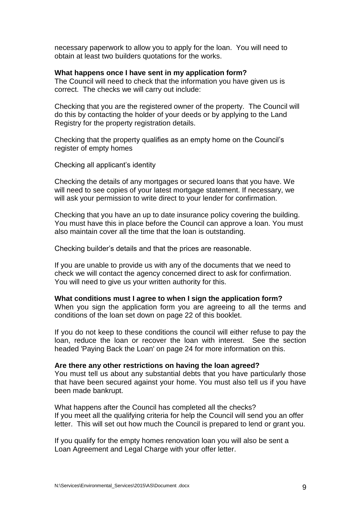necessary paperwork to allow you to apply for the loan. You will need to obtain at least two builders quotations for the works.

#### **What happens once I have sent in my application form?**

The Council will need to check that the information you have given us is correct. The checks we will carry out include:

Checking that you are the registered owner of the property. The Council will do this by contacting the holder of your deeds or by applying to the Land Registry for the property registration details.

Checking that the property qualifies as an empty home on the Council's register of empty homes

Checking all applicant's identity

Checking the details of any mortgages or secured loans that you have. We will need to see copies of your latest mortgage statement. If necessary, we will ask your permission to write direct to your lender for confirmation.

Checking that you have an up to date insurance policy covering the building. You must have this in place before the Council can approve a loan. You must also maintain cover all the time that the loan is outstanding.

Checking builder's details and that the prices are reasonable.

If you are unable to provide us with any of the documents that we need to check we will contact the agency concerned direct to ask for confirmation. You will need to give us your written authority for this.

#### **What conditions must I agree to when I sign the application form?**

When you sign the application form you are agreeing to all the terms and conditions of the loan set down on page 22 of this booklet.

If you do not keep to these conditions the council will either refuse to pay the loan, reduce the loan or recover the loan with interest. See the section headed 'Paying Back the Loan' on page 24 for more information on this.

#### **Are there any other restrictions on having the loan agreed?**

You must tell us about any substantial debts that you have particularly those that have been secured against your home. You must also tell us if you have been made bankrupt.

What happens after the Council has completed all the checks? If you meet all the qualifying criteria for help the Council will send you an offer letter. This will set out how much the Council is prepared to lend or grant you.

If you qualify for the empty homes renovation loan you will also be sent a Loan Agreement and Legal Charge with your offer letter.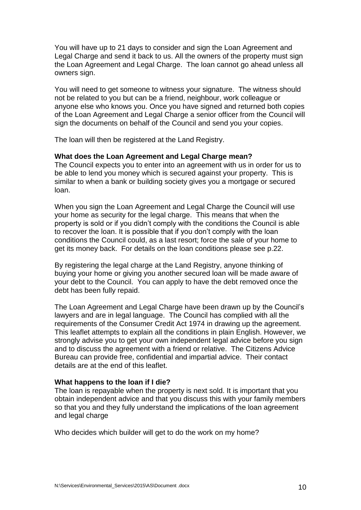You will have up to 21 days to consider and sign the Loan Agreement and Legal Charge and send it back to us. All the owners of the property must sign the Loan Agreement and Legal Charge. The loan cannot go ahead unless all owners sign.

You will need to get someone to witness your signature. The witness should not be related to you but can be a friend, neighbour, work colleague or anyone else who knows you. Once you have signed and returned both copies of the Loan Agreement and Legal Charge a senior officer from the Council will sign the documents on behalf of the Council and send you your copies.

The loan will then be registered at the Land Registry.

#### **What does the Loan Agreement and Legal Charge mean?**

The Council expects you to enter into an agreement with us in order for us to be able to lend you money which is secured against your property. This is similar to when a bank or building society gives you a mortgage or secured loan.

When you sign the Loan Agreement and Legal Charge the Council will use your home as security for the legal charge. This means that when the property is sold or if you didn't comply with the conditions the Council is able to recover the loan. It is possible that if you don't comply with the loan conditions the Council could, as a last resort; force the sale of your home to get its money back. For details on the loan conditions please see p.22.

By registering the legal charge at the Land Registry, anyone thinking of buying your home or giving you another secured loan will be made aware of your debt to the Council. You can apply to have the debt removed once the debt has been fully repaid.

The Loan Agreement and Legal Charge have been drawn up by the Council's lawyers and are in legal language. The Council has complied with all the requirements of the Consumer Credit Act 1974 in drawing up the agreement. This leaflet attempts to explain all the conditions in plain English. However, we strongly advise you to get your own independent legal advice before you sign and to discuss the agreement with a friend or relative. The Citizens Advice Bureau can provide free, confidential and impartial advice. Their contact details are at the end of this leaflet.

#### **What happens to the loan if I die?**

The loan is repayable when the property is next sold. It is important that you obtain independent advice and that you discuss this with your family members so that you and they fully understand the implications of the loan agreement and legal charge

Who decides which builder will get to do the work on my home?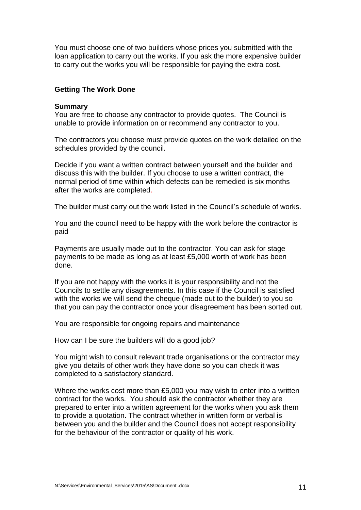You must choose one of two builders whose prices you submitted with the loan application to carry out the works. If you ask the more expensive builder to carry out the works you will be responsible for paying the extra cost.

### **Getting The Work Done**

#### **Summary**

You are free to choose any contractor to provide quotes. The Council is unable to provide information on or recommend any contractor to you.

The contractors you choose must provide quotes on the work detailed on the schedules provided by the council.

Decide if you want a written contract between yourself and the builder and discuss this with the builder. If you choose to use a written contract, the normal period of time within which defects can be remedied is six months after the works are completed.

The builder must carry out the work listed in the Council's schedule of works.

You and the council need to be happy with the work before the contractor is paid

Payments are usually made out to the contractor. You can ask for stage payments to be made as long as at least £5,000 worth of work has been done.

If you are not happy with the works it is your responsibility and not the Councils to settle any disagreements. In this case if the Council is satisfied with the works we will send the cheque (made out to the builder) to you so that you can pay the contractor once your disagreement has been sorted out.

You are responsible for ongoing repairs and maintenance

How can I be sure the builders will do a good job?

You might wish to consult relevant trade organisations or the contractor may give you details of other work they have done so you can check it was completed to a satisfactory standard.

Where the works cost more than £5,000 you may wish to enter into a written contract for the works. You should ask the contractor whether they are prepared to enter into a written agreement for the works when you ask them to provide a quotation. The contract whether in written form or verbal is between you and the builder and the Council does not accept responsibility for the behaviour of the contractor or quality of his work.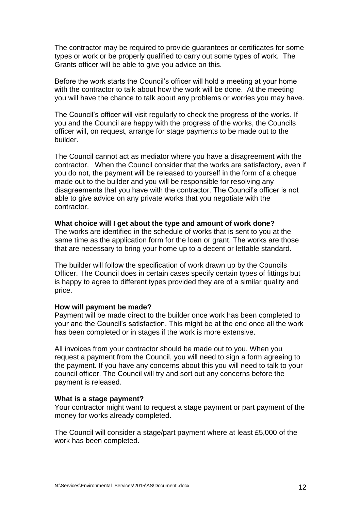The contractor may be required to provide guarantees or certificates for some types or work or be properly qualified to carry out some types of work. The Grants officer will be able to give you advice on this.

Before the work starts the Council's officer will hold a meeting at your home with the contractor to talk about how the work will be done. At the meeting you will have the chance to talk about any problems or worries you may have.

The Council's officer will visit regularly to check the progress of the works. If you and the Council are happy with the progress of the works, the Councils officer will, on request, arrange for stage payments to be made out to the builder.

The Council cannot act as mediator where you have a disagreement with the contractor. When the Council consider that the works are satisfactory, even if you do not, the payment will be released to yourself in the form of a cheque made out to the builder and you will be responsible for resolving any disagreements that you have with the contractor. The Council's officer is not able to give advice on any private works that you negotiate with the contractor.

#### **What choice will I get about the type and amount of work done?**

The works are identified in the schedule of works that is sent to you at the same time as the application form for the loan or grant. The works are those that are necessary to bring your home up to a decent or lettable standard.

The builder will follow the specification of work drawn up by the Councils Officer. The Council does in certain cases specify certain types of fittings but is happy to agree to different types provided they are of a similar quality and price.

#### **How will payment be made?**

Payment will be made direct to the builder once work has been completed to your and the Council's satisfaction. This might be at the end once all the work has been completed or in stages if the work is more extensive.

All invoices from your contractor should be made out to you. When you request a payment from the Council, you will need to sign a form agreeing to the payment. If you have any concerns about this you will need to talk to your council officer. The Council will try and sort out any concerns before the payment is released.

#### **What is a stage payment?**

Your contractor might want to request a stage payment or part payment of the money for works already completed.

The Council will consider a stage/part payment where at least £5,000 of the work has been completed.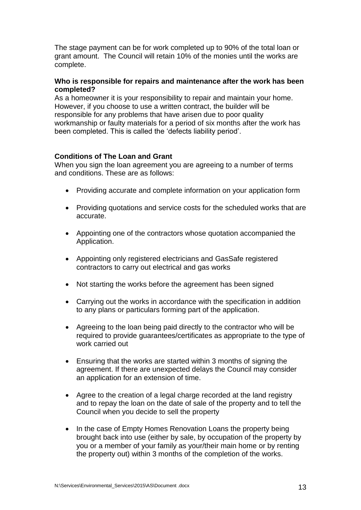The stage payment can be for work completed up to 90% of the total loan or grant amount. The Council will retain 10% of the monies until the works are complete.

### **Who is responsible for repairs and maintenance after the work has been completed?**

As a homeowner it is your responsibility to repair and maintain your home. However, if you choose to use a written contract, the builder will be responsible for any problems that have arisen due to poor quality workmanship or faulty materials for a period of six months after the work has been completed. This is called the 'defects liability period'.

### **Conditions of The Loan and Grant**

When you sign the loan agreement you are agreeing to a number of terms and conditions. These are as follows:

- Providing accurate and complete information on your application form
- Providing quotations and service costs for the scheduled works that are accurate.
- Appointing one of the contractors whose quotation accompanied the Application.
- Appointing only registered electricians and GasSafe registered contractors to carry out electrical and gas works
- Not starting the works before the agreement has been signed
- Carrying out the works in accordance with the specification in addition to any plans or particulars forming part of the application.
- Agreeing to the loan being paid directly to the contractor who will be required to provide guarantees/certificates as appropriate to the type of work carried out
- Ensuring that the works are started within 3 months of signing the agreement. If there are unexpected delays the Council may consider an application for an extension of time.
- Agree to the creation of a legal charge recorded at the land registry and to repay the loan on the date of sale of the property and to tell the Council when you decide to sell the property
- In the case of Empty Homes Renovation Loans the property being brought back into use (either by sale, by occupation of the property by you or a member of your family as your/their main home or by renting the property out) within 3 months of the completion of the works.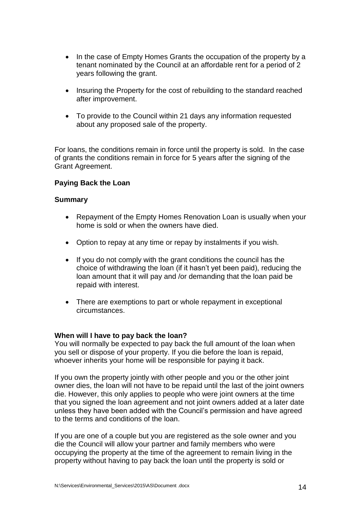- In the case of Empty Homes Grants the occupation of the property by a tenant nominated by the Council at an affordable rent for a period of 2 years following the grant.
- Insuring the Property for the cost of rebuilding to the standard reached after improvement.
- To provide to the Council within 21 days any information requested about any proposed sale of the property.

For loans, the conditions remain in force until the property is sold. In the case of grants the conditions remain in force for 5 years after the signing of the Grant Agreement.

### **Paying Back the Loan**

### **Summary**

- Repayment of the Empty Homes Renovation Loan is usually when your home is sold or when the owners have died.
- Option to repay at any time or repay by instalments if you wish.
- If you do not comply with the grant conditions the council has the choice of withdrawing the loan (if it hasn't yet been paid), reducing the loan amount that it will pay and /or demanding that the loan paid be repaid with interest.
- There are exemptions to part or whole repayment in exceptional circumstances.

### **When will I have to pay back the loan?**

You will normally be expected to pay back the full amount of the loan when you sell or dispose of your property. If you die before the loan is repaid, whoever inherits your home will be responsible for paying it back.

If you own the property jointly with other people and you or the other joint owner dies, the loan will not have to be repaid until the last of the joint owners die. However, this only applies to people who were joint owners at the time that you signed the loan agreement and not joint owners added at a later date unless they have been added with the Council's permission and have agreed to the terms and conditions of the loan.

If you are one of a couple but you are registered as the sole owner and you die the Council will allow your partner and family members who were occupying the property at the time of the agreement to remain living in the property without having to pay back the loan until the property is sold or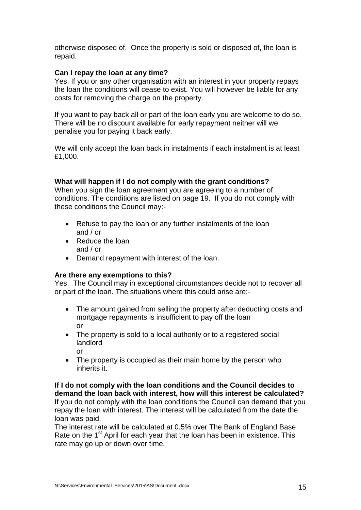otherwise disposed of. Once the property is sold or disposed of, the loan is repaid.

### **Can I repay the loan at any time?**

Yes. If you or any other organisation with an interest in your property repays the loan the conditions will cease to exist. You will however be liable for any costs for removing the charge on the property.

If you want to pay back all or part of the loan early you are welcome to do so. There will be no discount available for early repayment neither will we penalise you for paying it back early.

We will only accept the loan back in instalments if each instalment is at least £1,000.

### **What will happen if I do not comply with the grant conditions?**

When you sign the loan agreement you are agreeing to a number of conditions. The conditions are listed on page 19. If you do not comply with these conditions the Council may:-

- Refuse to pay the loan or any further instalments of the loan and / or
- Reduce the loan and / or
- Demand repayment with interest of the loan.

### **Are there any exemptions to this?**

Yes. The Council may in exceptional circumstances decide not to recover all or part of the loan. The situations where this could arise are:-

- The amount gained from selling the property after deducting costs and mortgage repayments is insufficient to pay off the loan or
- The property is sold to a local authority or to a registered social landlord

or

• The property is occupied as their main home by the person who inherits it.

**If I do not comply with the loan conditions and the Council decides to demand the loan back with interest, how will this interest be calculated?** If you do not comply with the loan conditions the Council can demand that you repay the loan with interest. The interest will be calculated from the date the loan was paid.

The interest rate will be calculated at 0.5% over The Bank of England Base Rate on the 1<sup>st</sup> April for each year that the loan has been in existence. This rate may go up or down over time.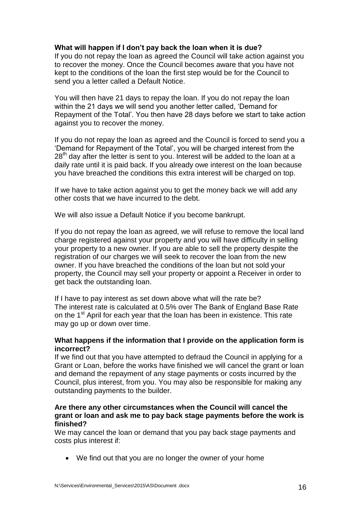### **What will happen if I don't pay back the loan when it is due?**

If you do not repay the loan as agreed the Council will take action against you to recover the money. Once the Council becomes aware that you have not kept to the conditions of the loan the first step would be for the Council to send you a letter called a Default Notice.

You will then have 21 days to repay the loan. If you do not repay the loan within the 21 days we will send you another letter called, 'Demand for Repayment of the Total'. You then have 28 days before we start to take action against you to recover the money.

If you do not repay the loan as agreed and the Council is forced to send you a 'Demand for Repayment of the Total', you will be charged interest from the  $28<sup>th</sup>$  day after the letter is sent to you. Interest will be added to the loan at a daily rate until it is paid back. If you already owe interest on the loan because you have breached the conditions this extra interest will be charged on top.

If we have to take action against you to get the money back we will add any other costs that we have incurred to the debt.

We will also issue a Default Notice if you become bankrupt.

If you do not repay the loan as agreed, we will refuse to remove the local land charge registered against your property and you will have difficulty in selling your property to a new owner. If you are able to sell the property despite the registration of our charges we will seek to recover the loan from the new owner. If you have breached the conditions of the loan but not sold your property, the Council may sell your property or appoint a Receiver in order to get back the outstanding loan.

If I have to pay interest as set down above what will the rate be? The interest rate is calculated at 0.5% over The Bank of England Base Rate on the  $1<sup>st</sup>$  April for each year that the loan has been in existence. This rate may go up or down over time.

### **What happens if the information that I provide on the application form is incorrect?**

If we find out that you have attempted to defraud the Council in applying for a Grant or Loan, before the works have finished we will cancel the grant or loan and demand the repayment of any stage payments or costs incurred by the Council, plus interest, from you. You may also be responsible for making any outstanding payments to the builder.

### **Are there any other circumstances when the Council will cancel the grant or loan and ask me to pay back stage payments before the work is finished?**

We may cancel the loan or demand that you pay back stage payments and costs plus interest if:

We find out that you are no longer the owner of your home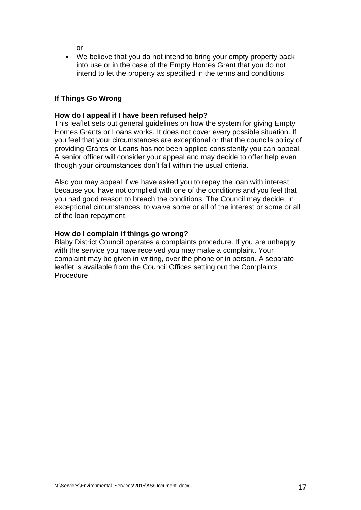or

• We believe that you do not intend to bring your empty property back into use or in the case of the Empty Homes Grant that you do not intend to let the property as specified in the terms and conditions

# **If Things Go Wrong**

### **How do I appeal if I have been refused help?**

This leaflet sets out general guidelines on how the system for giving Empty Homes Grants or Loans works. It does not cover every possible situation. If you feel that your circumstances are exceptional or that the councils policy of providing Grants or Loans has not been applied consistently you can appeal. A senior officer will consider your appeal and may decide to offer help even though your circumstances don't fall within the usual criteria.

Also you may appeal if we have asked you to repay the loan with interest because you have not complied with one of the conditions and you feel that you had good reason to breach the conditions. The Council may decide, in exceptional circumstances, to waive some or all of the interest or some or all of the loan repayment.

### **How do I complain if things go wrong?**

Blaby District Council operates a complaints procedure. If you are unhappy with the service you have received you may make a complaint. Your complaint may be given in writing, over the phone or in person. A separate leaflet is available from the Council Offices setting out the Complaints Procedure.